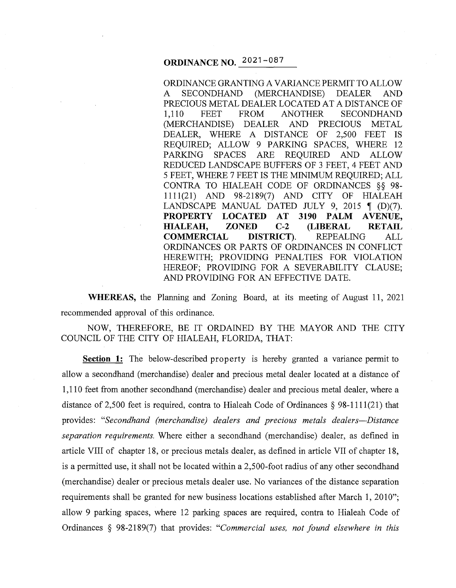# **ORDINANCE NO. 2021-087**

ORDINANCE GRANTING A VARIANCE PERMIT TO ALLOW A SECONDHAND (MERCHANDISE) DEALER AND PRECIOUS METAL DEALER LOCATED AT A DISTANCE OF 1, 110 FEET FROM ANOTHER SECONDHAND (MERCHANDISE) DEALER AND PRECIOUS METAL DEALER, WHERE A DISTANCE OF 2,500 FEET IS REQUIRED; ALLOW 9 PARKING SPACES, WHERE 12 PARKING SPACES ARE REQUIRED AND ALLOW REDUCED LANDSCAPE BUFFERS OF 3 FEET, 4 FEET AND 5 FEET, WHERE 7 FEET IS THE MINIMUM REQUIRED; ALL CONTRA TO HIALEAH CODE OF ORDINANCES §§ 98- 1111(21) AND 98-2189(7) AND CITY OF HIALEAH LANDSCAPE MANUAL DATED JULY 9, 2015  $\P$  (D)(7). **PROPERTY LOCATED AT 3190 PALM AVENUE, HIALEAH, ZONED C-2 (LIBERAL RETAIL COMMERCIAL DISTRICT).** REPEALING ALL ORDINANCES OR PARTS OF ORDINANCES IN CONFLICT HEREWITH; PROVIDING PENALTIES FOR VIOLATION HEREOF; PROVIDING FOR A SEVERABILITY CLAUSE; AND PROVIDING FOR AN EFFECTIVE DATE.

**WHEREAS,** the Planning and Zoning Board, at its meeting of August 11, 2021 recommended approval of this ordinance.

NOW, THEREFORE, BE IT ORDAINED BY THE MAYOR AND THE CITY COUNCIL OF THE CITY OF HIALEAH, FLORIDA, THAT:

**Section 1:** The below-described property is hereby granted a variance permit to allow a secondhand (merchandise) dealer and precious metal dealer located at a distance of 1, 110 feet from another secondhand (merchandise) dealer and precious metal dealer, where a distance of 2,500 feet is required, contra to Hialeah Code of Ordinances  $\S$  98-1111(21) that provides: *"Secondhand (merchandise) dealers and precious metals dealers-Distance separation requirements.* Where either a secondhand (merchandise) dealer, as defined in article VIII of chapter 18, or precious metals dealer, as defined in article VII of chapter 18, is a permitted use, it shall not be located within a 2,500-foot radius of any other secondhand (merchandise) dealer or precious metals dealer use. No variances of the distance separation requirements shall be granted for new business locations established after March 1, 2010"; allow 9 parking spaces, where 12 parking spaces are required, contra to Hialeah Code of Ordinances § 98-2189(7) that provides: *"Commercial uses, not found elsewhere in this*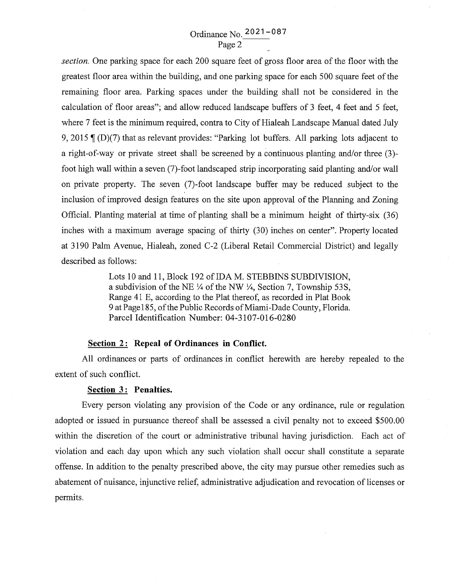## Ordinance No. 2021 - 087 Page2

*section.* One parking space for each 200 square feet of gross floor area of the floor with the greatest floor area within the building, and one parking space for each 500 square feet of the remaining floor area. Parking spaces under the building shall not be considered in the calculation of floor areas"; and allow reduced landscape buffers of 3 feet, 4 feet and 5 feet, where 7 feet is the minimum required, contra to City of Hialeah Landscape Manual dated July 9, 2015  $\mathcal{I}(D)(7)$  that as relevant provides: "Parking lot buffers. All parking lots adjacent to a right-of-way or private street shall be screened by a continuous planting and/or three (3) foot high wall within a seven (7)-foot landscaped strip incorporating said planting and/or wall on private property. The seven (7)-foot landscape buffer may be reduced subject to the inclusion of improved design features on the site upon approval of the Planning and Zoning Official. Planting material at time of planting shall be a minimum height of thirty-six (36) inches with a maximum average spacing of thirty (30) inches on center". Property located at 3190 Palm A venue, Hialeah, zoned C-2 (Liberal Retail Commercial District) and legally described as follows:

> Lots 10 and 11, Block 192 of IDA M. STEBBINS SUBDIVISION, a subdivision of the NE  $\frac{1}{4}$  of the NW  $\frac{1}{4}$ , Section 7, Township 53S, Range 41 E, according to the Plat thereof, as recorded in Plat Book 9 at Page 185, of the Public Records of Miami-Dade County, Florida. Parcel Identification Number: 04-3107-016-0280

### **<u>Section 2:</u> Repeal of Ordinances in Conflict.**

All ordinances or parts of ordinances in conflict herewith are hereby repealed to the extent of such conflict.

#### **Section** 3 : **Penalties.**

Every person violating any provision of the Code or any ordinance, rule or regulation adopted or issued in pursuance thereof shall be assessed a civil penalty not to exceed \$500.00 within the discretion of the court or administrative tribunal having jurisdiction. Each act of violation and each day upon which any such violation shall occur shall constitute a separate offense. In addition to the penalty prescribed above, the city may pursue other remedies such as abatement of nuisance, injunctive relief, administrative adjudication and revocation of licenses or permits.